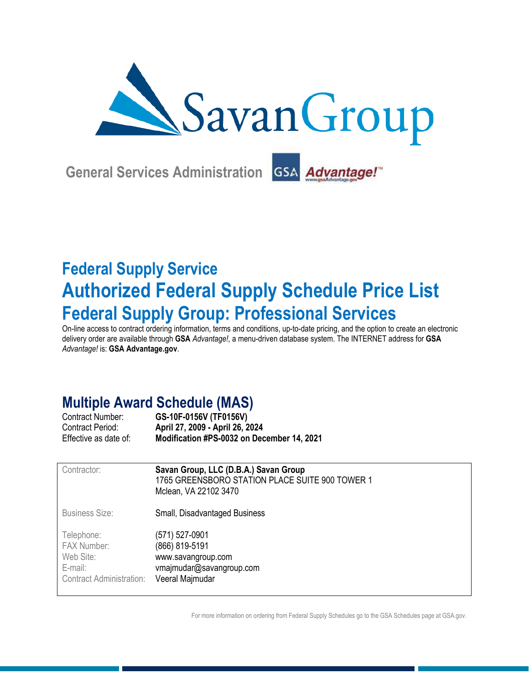

**General Services Administration** GSA Advantage!™

# **Federal Supply Service Authorized Federal Supply Schedule Price List Federal Supply Group: Professional Services**

On-line access to contract ordering information, terms and conditions, up-to-date pricing, and the option to create an electronic delivery order are available through **GSA** *Advantage!*, a menu-driven database system. The INTERNET address for **GSA** *Advantage!* is: **GSA Advantage.gov**.

# **Multiple Award Schedule (MAS)**

| <b>Contract Number:</b> | GS-10F-0156V (TF0156V)                     |
|-------------------------|--------------------------------------------|
| Contract Period:        | April 27, 2009 - April 26, 2024            |
| Effective as date of:   | Modification #PS-0032 on December 14, 2021 |

| Contractor:                                                                                 | Savan Group, LLC (D.B.A.) Savan Group<br>1765 GREENSBORO STATION PLACE SUITE 900 TOWER 1<br>Mclean, VA 22102 3470 |
|---------------------------------------------------------------------------------------------|-------------------------------------------------------------------------------------------------------------------|
| <b>Business Size:</b>                                                                       | Small, Disadvantaged Business                                                                                     |
| Telephone:<br><b>FAX Number:</b><br>Web Site:<br>E-mail:<br><b>Contract Administration:</b> | (571) 527-0901<br>(866) 819-5191<br>www.savangroup.com<br>vmajmudar@savangroup.com<br>Veeral Majmudar             |

For more information on ordering from Federal Supply Schedules go to the GSA Schedules page at GSA.gov.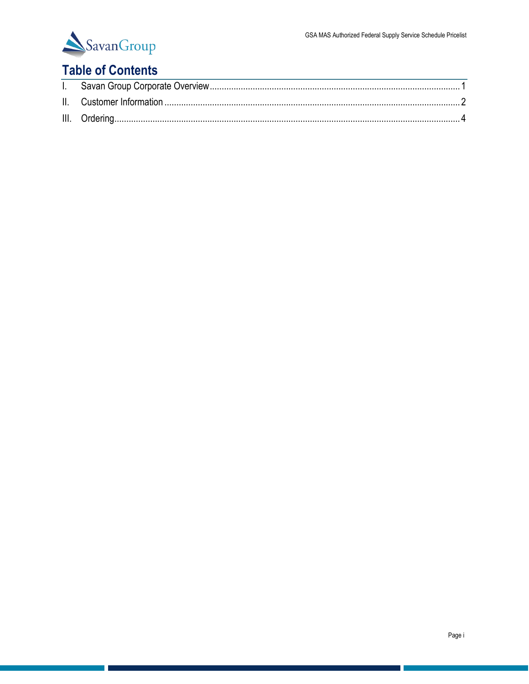

## **Table of Contents**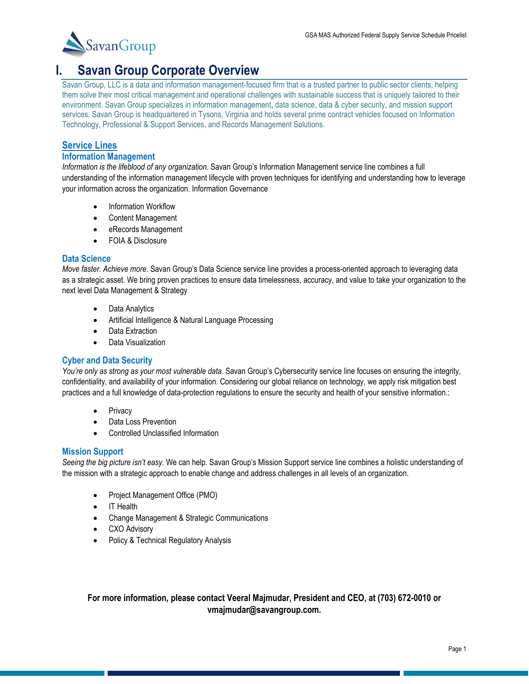

## <span id="page-2-0"></span>**I. Savan Group Corporate Overview**

Savan Group, LLC is a data and information management-focused firm that is a trusted partner to public sector clients, helping them solve their most critical management and operational challenges with sustainable success that is uniquely tailored to their environment. Savan Group specializes in information management, data science, data & cyber security, and mission support services. Savan Group is headquartered in Tysons, Virginia and holds several prime contract vehicles focused on Information Technology, Professional & Support Services, and Records Management Solutions.

#### **Service Lines**

#### **Information Management**

*Information is the lifeblood of any organization*. Savan Group's Information Management service line combines a full understanding of the information management lifecycle with proven techniques for identifying and understanding how to leverage your information across the organization. Information Governance

- Information Workflow
- Content Management
- eRecords Management
- FOIA & Disclosure

#### **Data Science**

*Move faster. Achieve more*. Savan Group's Data Science service line provides a process-oriented approach to leveraging data as a strategic asset. We bring proven practices to ensure data timelessness, accuracy, and value to take your organization to the next level Data Management & Strategy

- Data Analytics
- Artificial Intelligence & Natural Language Processing
- Data Extraction
- Data Visualization

#### **Cyber and Data Security**

*You're only as strong as your most vulnerable data*. Savan Group's Cybersecurity service line focuses on ensuring the integrity, confidentiality, and availability of your information. Considering our global reliance on technology, we apply risk mitigation best practices and a full knowledge of data-protection regulations to ensure the security and health of your sensitive information.:

- **Privacy**
- Data Loss Prevention
- Controlled Unclassified Information

#### **Mission Support**

*Seeing the big picture isn't easy*. We can help. Savan Group's Mission Support service line combines a holistic understanding of the mission with a strategic approach to enable change and address challenges in all levels of an organization.

- Project Management Office (PMO)
- IT Health
- Change Management & Strategic Communications
- CXO Advisory
- Policy & Technical Regulatory Analysis

#### **For more information, please contact Veeral Majmudar, President and CEO, at (703) 672-0010 or vmajmudar@savangroup.com.**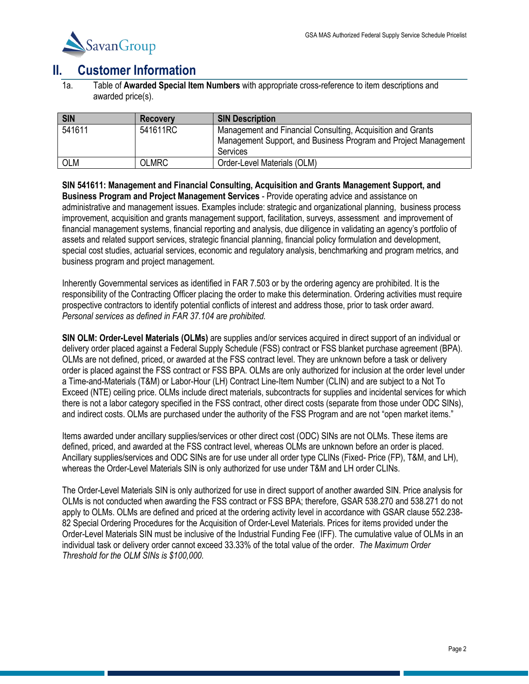

### <span id="page-3-0"></span>**II. Customer Information**

1a. Table of **Awarded Special Item Numbers** with appropriate cross-reference to item descriptions and awarded price(s).

| <b>SIN</b> | <b>Recovery</b> | <b>SIN Description</b>                                                                                                                     |
|------------|-----------------|--------------------------------------------------------------------------------------------------------------------------------------------|
| 541611     | 541611RC        | Management and Financial Consulting, Acquisition and Grants<br>Management Support, and Business Program and Project Management<br>Services |
| <b>OLM</b> | <b>OLMRC</b>    | Order-Level Materials (OLM)                                                                                                                |

**SIN 541611: Management and Financial Consulting, Acquisition and Grants Management Support, and Business Program and Project Management Services** - Provide operating advice and assistance on administrative and management issues. Examples include: strategic and organizational planning, business process improvement, acquisition and grants management support, facilitation, surveys, assessment and improvement of financial management systems, financial reporting and analysis, due diligence in validating an agency's portfolio of assets and related support services, strategic financial planning, financial policy formulation and development, special cost studies, actuarial services, economic and regulatory analysis, benchmarking and program metrics, and business program and project management.

Inherently Governmental services as identified in FAR 7.503 or by the ordering agency are prohibited. It is the responsibility of the Contracting Officer placing the order to make this determination. Ordering activities must require prospective contractors to identify potential conflicts of interest and address those, prior to task order award. *Personal services as defined in FAR 37.104 are prohibited.*

**SIN OLM: Order-Level Materials (OLMs)** are supplies and/or services acquired in direct support of an individual or delivery order placed against a Federal Supply Schedule (FSS) contract or FSS blanket purchase agreement (BPA). OLMs are not defined, priced, or awarded at the FSS contract level. They are unknown before a task or delivery order is placed against the FSS contract or FSS BPA. OLMs are only authorized for inclusion at the order level under a Time-and-Materials (T&M) or Labor-Hour (LH) Contract Line-Item Number (CLIN) and are subject to a Not To Exceed (NTE) ceiling price. OLMs include direct materials, subcontracts for supplies and incidental services for which there is not a labor category specified in the FSS contract, other direct costs (separate from those under ODC SINs), and indirect costs. OLMs are purchased under the authority of the FSS Program and are not "open market items."

Items awarded under ancillary supplies/services or other direct cost (ODC) SINs are not OLMs. These items are defined, priced, and awarded at the FSS contract level, whereas OLMs are unknown before an order is placed. Ancillary supplies/services and ODC SINs are for use under all order type CLINs (Fixed- Price (FP), T&M, and LH), whereas the Order-Level Materials SIN is only authorized for use under T&M and LH order CLINs.

The Order-Level Materials SIN is only authorized for use in direct support of another awarded SIN. Price analysis for OLMs is not conducted when awarding the FSS contract or FSS BPA; therefore, GSAR 538.270 and 538.271 do not apply to OLMs. OLMs are defined and priced at the ordering activity level in accordance with GSAR clause 552.238- 82 Special Ordering Procedures for the Acquisition of Order-Level Materials. Prices for items provided under the Order-Level Materials SIN must be inclusive of the Industrial Funding Fee (IFF). The cumulative value of OLMs in an individual task or delivery order cannot exceed 33.33% of the total value of the order. *The Maximum Order Threshold for the OLM SINs is \$100,000.*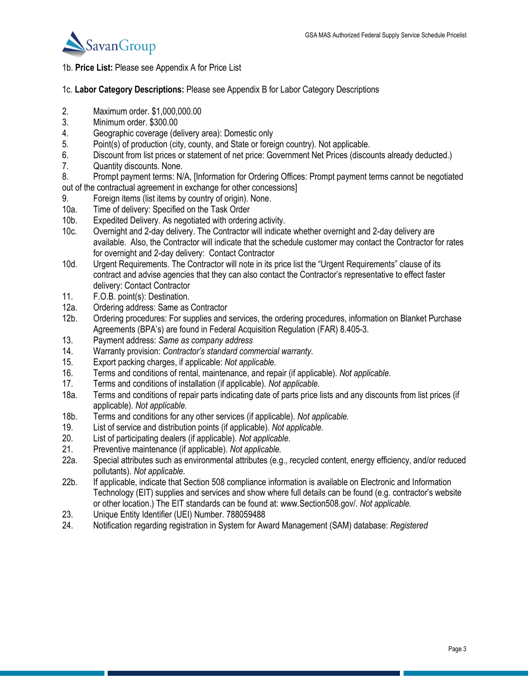

#### 1b. **Price List:** Please see Appendix A for Price List

- 1c. **Labor Category Descriptions:** Please see Appendix B for Labor Category Descriptions
- 2. Maximum order. \$1,000,000.00
- 3. Minimum order. \$300.00
- 4. Geographic coverage (delivery area): Domestic only
- 5. Point(s) of production (city, county, and State or foreign country). Not applicable.
- 6. Discount from list prices or statement of net price: Government Net Prices (discounts already deducted.)
- 7. Quantity discounts. None.
- 8. Prompt payment terms: N/A, [Information for Ordering Offices: Prompt payment terms cannot be negotiated out of the contractual agreement in exchange for other concessions]
- 9. Foreign items (list items by country of origin). None.
- 10a. Time of delivery: Specified on the Task Order
- 10b. Expedited Delivery. As negotiated with ordering activity.
- 10c. Overnight and 2-day delivery. The Contractor will indicate whether overnight and 2-day delivery are available. Also, the Contractor will indicate that the schedule customer may contact the Contractor for rates for overnight and 2-day delivery: Contact Contractor
- 10d. Urgent Requirements. The Contractor will note in its price list the "Urgent Requirements" clause of its contract and advise agencies that they can also contact the Contractor's representative to effect faster delivery: Contact Contractor
- 11. F.O.B. point(s): Destination.
- 12a. Ordering address: Same as Contractor<br>12b. Ordering procedures: For supplies and
- Ordering procedures: For supplies and services, the ordering procedures, information on Blanket Purchase Agreements (BPA's) are found in Federal Acquisition Regulation (FAR) 8.405-3.
- 13. Payment address: *Same as company address*
- 14. Warranty provision: *Contractor's standard commercial warranty.*
- 15. Export packing charges, if applicable: *Not applicable.*
- 16. Terms and conditions of rental, maintenance, and repair (if applicable). *Not applicable.*
- 17. Terms and conditions of installation (if applicable). *Not applicable.*
- 18a. Terms and conditions of repair parts indicating date of parts price lists and any discounts from list prices (if applicable). *Not applicable.*
- 18b. Terms and conditions for any other services (if applicable). *Not applicable.*
- 19. List of service and distribution points (if applicable). *Not applicable.*
- 20. List of participating dealers (if applicable). *Not applicable.*
- 21. Preventive maintenance (if applicable). *Not applicable.*
- 22a. Special attributes such as environmental attributes (e.g., recycled content, energy efficiency, and/or reduced pollutants). *Not applicable.*
- 22b. If applicable, indicate that Section 508 compliance information is available on Electronic and Information Technology (EIT) supplies and services and show where full details can be found (e.g. contractor's website or other location.) The EIT standards can be found at: www.Section508.gov/. *Not applicable.*
- 23. Unique Entity Identifier (UEI) Number. 788059488
- 24. Notification regarding registration in System for Award Management (SAM) database: *Registered*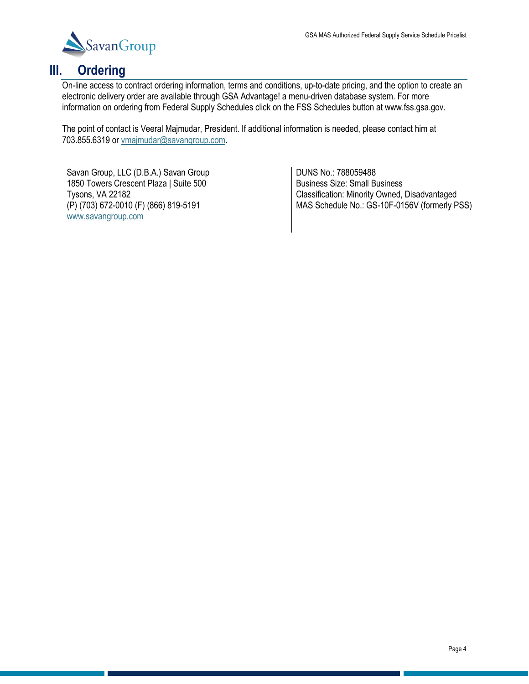

## <span id="page-5-0"></span>**III. Ordering**

On-line access to contract ordering information, terms and conditions, up-to-date pricing, and the option to create an electronic delivery order are available through GSA Advantage! a menu-driven database system. For more information on ordering from Federal Supply Schedules click on the FSS Schedules button at www.fss.gsa.gov.

The point of contact is Veeral Majmudar, President. If additional information is needed, please contact him at 703.855.6319 or [vmajmudar@savangroup.com.](mailto:vmajmudar@savangroup.com)

Savan Group, LLC (D.B.A.) Savan Group 1850 Towers Crescent Plaza | Suite 500 Tysons, VA 22182 (P) (703) 672-0010 (F) (866) 819-5191 [www.savangroup.com](http://www.savangroup.com/)

DUNS No.: 788059488 Business Size: Small Business Classification: Minority Owned, Disadvantaged MAS Schedule No.: GS-10F-0156V (formerly PSS)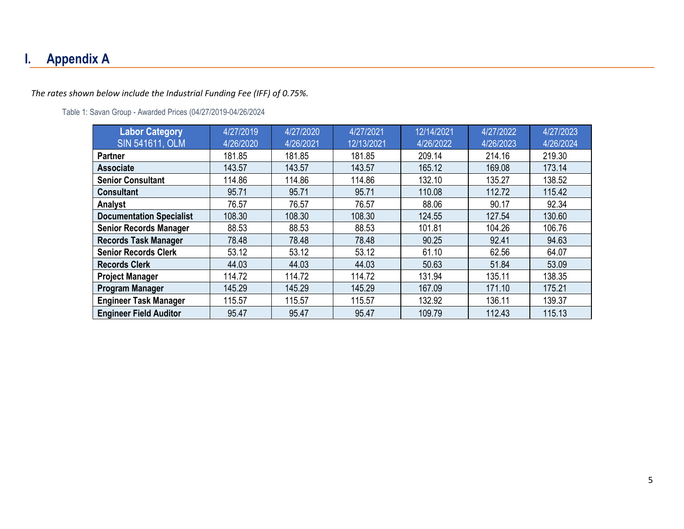# **I. Appendix A**

#### *The rates shown below include the Industrial Funding Fee (IFF) of 0.75%.*

#### Table 1: Savan Group - Awarded Prices (04/27/2019-04/26/2024

| <b>Labor Category</b>           | 4/27/2019 | 4/27/2020 | 4/27/2021  | 12/14/2021 | 4/27/2022 | 4/27/2023 |
|---------------------------------|-----------|-----------|------------|------------|-----------|-----------|
| <b>SIN 541611, OLM</b>          | 4/26/2020 | 4/26/2021 | 12/13/2021 | 4/26/2022  | 4/26/2023 | 4/26/2024 |
| <b>Partner</b>                  | 181.85    | 181.85    | 181.85     | 209.14     | 214.16    | 219.30    |
| <b>Associate</b>                | 143.57    | 143.57    | 143.57     | 165.12     | 169.08    | 173.14    |
| <b>Senior Consultant</b>        | 114.86    | 114.86    | 114.86     | 132.10     | 135.27    | 138.52    |
| <b>Consultant</b>               | 95.71     | 95.71     | 95.71      | 110.08     | 112.72    | 115.42    |
| Analyst                         | 76.57     | 76.57     | 76.57      | 88.06      | 90.17     | 92.34     |
| <b>Documentation Specialist</b> | 108.30    | 108.30    | 108.30     | 124.55     | 127.54    | 130.60    |
| <b>Senior Records Manager</b>   | 88.53     | 88.53     | 88.53      | 101.81     | 104.26    | 106.76    |
| <b>Records Task Manager</b>     | 78.48     | 78.48     | 78.48      | 90.25      | 92.41     | 94.63     |
| <b>Senior Records Clerk</b>     | 53.12     | 53.12     | 53.12      | 61.10      | 62.56     | 64.07     |
| <b>Records Clerk</b>            | 44.03     | 44.03     | 44.03      | 50.63      | 51.84     | 53.09     |
| <b>Project Manager</b>          | 114.72    | 114.72    | 114.72     | 131.94     | 135.11    | 138.35    |
| Program Manager                 | 145.29    | 145.29    | 145.29     | 167.09     | 171.10    | 175.21    |
| <b>Engineer Task Manager</b>    | 115.57    | 115.57    | 115.57     | 132.92     | 136.11    | 139.37    |
| <b>Engineer Field Auditor</b>   | 95.47     | 95.47     | 95.47      | 109.79     | 112.43    | 115.13    |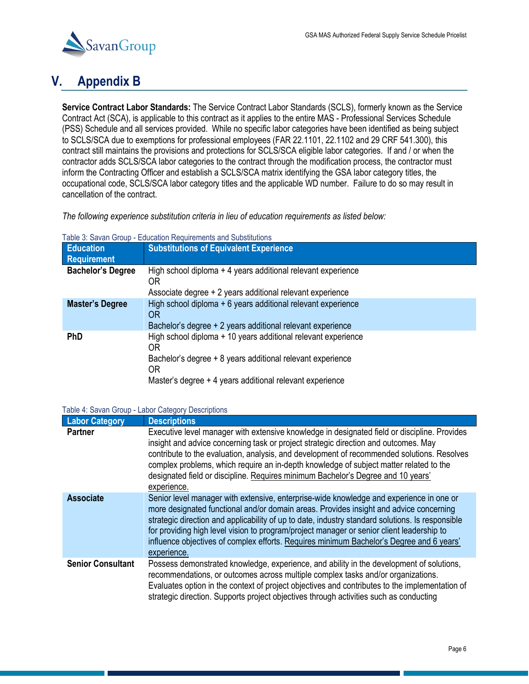

# **V. Appendix B**

**Service Contract Labor Standards:** The Service Contract Labor Standards (SCLS), formerly known as the Service Contract Act (SCA), is applicable to this contract as it applies to the entire MAS - Professional Services Schedule (PSS) Schedule and all services provided. While no specific labor categories have been identified as being subject to SCLS/SCA due to exemptions for professional employees (FAR 22.1101, 22.1102 and 29 CRF 541.300), this contract still maintains the provisions and protections for SCLS/SCA eligible labor categories. If and / or when the contractor adds SCLS/SCA labor categories to the contract through the modification process, the contractor must inform the Contracting Officer and establish a SCLS/SCA matrix identifying the GSA labor category titles, the occupational code, SCLS/SCA labor category titles and the applicable WD number. Failure to do so may result in cancellation of the contract.

*The following experience substitution criteria in lieu of education requirements as listed below:*

| Table 3: Savan Group - Education Requirements and Substitutions |  |  |  |  |  |  |  |  |  |  |  |
|-----------------------------------------------------------------|--|--|--|--|--|--|--|--|--|--|--|
|-----------------------------------------------------------------|--|--|--|--|--|--|--|--|--|--|--|

| <b>Education</b>         | <b>Substitutions of Equivalent Experience</b>                                                                                                                                                       |
|--------------------------|-----------------------------------------------------------------------------------------------------------------------------------------------------------------------------------------------------|
| Requirement              |                                                                                                                                                                                                     |
| <b>Bachelor's Degree</b> | High school diploma + 4 years additional relevant experience<br>ΟR<br>Associate degree + 2 years additional relevant experience                                                                     |
|                          |                                                                                                                                                                                                     |
| <b>Master's Degree</b>   | High school diploma + 6 years additional relevant experience<br>OR<br>Bachelor's degree + 2 years additional relevant experience                                                                    |
| <b>PhD</b>               | High school diploma + 10 years additional relevant experience<br>0R<br>Bachelor's degree + 8 years additional relevant experience<br>0R<br>Master's degree + 4 years additional relevant experience |

#### Table 4: Savan Group - Labor Category Descriptions

| <b>Labor Category</b>    | <b>Descriptions</b>                                                                                                                                                                                                                                                                                                                                                                                                                                                                           |
|--------------------------|-----------------------------------------------------------------------------------------------------------------------------------------------------------------------------------------------------------------------------------------------------------------------------------------------------------------------------------------------------------------------------------------------------------------------------------------------------------------------------------------------|
| <b>Partner</b>           | Executive level manager with extensive knowledge in designated field or discipline. Provides<br>insight and advice concerning task or project strategic direction and outcomes. May<br>contribute to the evaluation, analysis, and development of recommended solutions. Resolves<br>complex problems, which require an in-depth knowledge of subject matter related to the<br>designated field or discipline. Requires minimum Bachelor's Degree and 10 years'<br>experience.                |
| <b>Associate</b>         | Senior level manager with extensive, enterprise-wide knowledge and experience in one or<br>more designated functional and/or domain areas. Provides insight and advice concerning<br>strategic direction and applicability of up to date, industry standard solutions. Is responsible<br>for providing high level vision to program/project manager or senior client leadership to<br>influence objectives of complex efforts. Requires minimum Bachelor's Degree and 6 years'<br>experience. |
| <b>Senior Consultant</b> | Possess demonstrated knowledge, experience, and ability in the development of solutions,<br>recommendations, or outcomes across multiple complex tasks and/or organizations.<br>Evaluates option in the context of project objectives and contributes to the implementation of<br>strategic direction. Supports project objectives through activities such as conducting                                                                                                                      |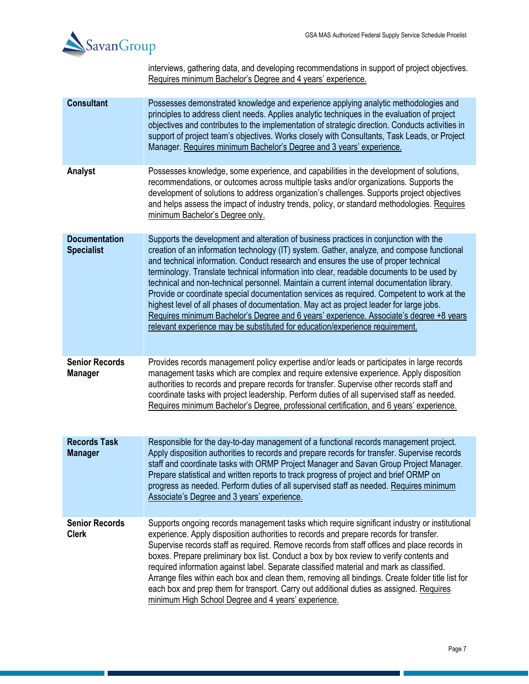

interviews, gathering data, and developing recommendations in support of project objectives. Requires minimum Bachelor's Degree and 4 years' experience.

| <b>Consultant</b>                         | Possesses demonstrated knowledge and experience applying analytic methodologies and<br>principles to address client needs. Applies analytic techniques in the evaluation of project<br>objectives and contributes to the implementation of strategic direction. Conducts activities in<br>support of project team's objectives. Works closely with Consultants, Task Leads, or Project<br>Manager. Requires minimum Bachelor's Degree and 3 years' experience.                                                                                                                                                                                                                                                                                                                                                                           |
|-------------------------------------------|------------------------------------------------------------------------------------------------------------------------------------------------------------------------------------------------------------------------------------------------------------------------------------------------------------------------------------------------------------------------------------------------------------------------------------------------------------------------------------------------------------------------------------------------------------------------------------------------------------------------------------------------------------------------------------------------------------------------------------------------------------------------------------------------------------------------------------------|
| Analyst                                   | Possesses knowledge, some experience, and capabilities in the development of solutions,<br>recommendations, or outcomes across multiple tasks and/or organizations. Supports the<br>development of solutions to address organization's challenges. Supports project objectives<br>and helps assess the impact of industry trends, policy, or standard methodologies. Requires<br>minimum Bachelor's Degree only.                                                                                                                                                                                                                                                                                                                                                                                                                         |
| <b>Documentation</b><br><b>Specialist</b> | Supports the development and alteration of business practices in conjunction with the<br>creation of an information technology (IT) system. Gather, analyze, and compose functional<br>and technical information. Conduct research and ensures the use of proper technical<br>terminology. Translate technical information into clear, readable documents to be used by<br>technical and non-technical personnel. Maintain a current internal documentation library.<br>Provide or coordinate special documentation services as required. Competent to work at the<br>highest level of all phases of documentation. May act as project leader for large jobs.<br>Requires minimum Bachelor's Degree and 6 years' experience. Associate's degree +8 years<br>relevant experience may be substituted for education/experience requirement. |
| <b>Senior Records</b><br><b>Manager</b>   | Provides records management policy expertise and/or leads or participates in large records<br>management tasks which are complex and require extensive experience. Apply disposition<br>authorities to records and prepare records for transfer. Supervise other records staff and<br>coordinate tasks with project leadership. Perform duties of all supervised staff as needed.<br>Requires minimum Bachelor's Degree, professional certification, and 6 years' experience.                                                                                                                                                                                                                                                                                                                                                            |
| <b>Records Task</b><br><b>Manager</b>     | Responsible for the day-to-day management of a functional records management project.<br>Apply disposition authorities to records and prepare records for transfer. Supervise records<br>staff and coordinate tasks with ORMP Project Manager and Savan Group Project Manager.<br>Prepare statistical and written reports to track progress of project and brief ORMP on<br>progress as needed. Perform duties of all supervised staff as needed. Requires minimum<br>Associate's Degree and 3 years' experience.                                                                                                                                                                                                                                                                                                                        |
| <b>Senior Records</b><br><b>Clerk</b>     | Supports ongoing records management tasks which require significant industry or institutional<br>experience. Apply disposition authorities to records and prepare records for transfer.<br>Supervise records staff as required. Remove records from staff offices and place records in<br>boxes. Prepare preliminary box list. Conduct a box by box review to verify contents and<br>required information against label. Separate classified material and mark as classified.<br>Arrange files within each box and clean them, removing all bindings. Create folder title list for<br>each box and prep them for transport. Carry out additional duties as assigned. Requires<br>minimum High School Degree and 4 years' experience.                                                                                                     |